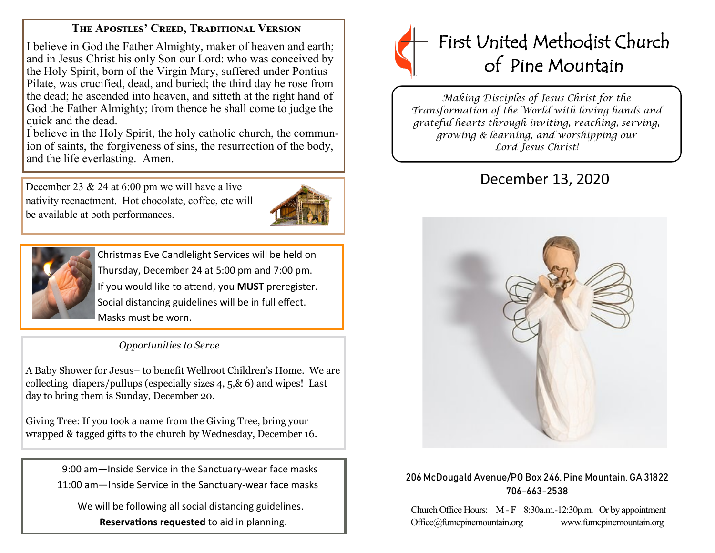### **The Apostles' Creed, Traditional Version**

I believe in God the Father Almighty, maker of heaven and earth; and in Jesus Christ his only Son our Lord: who was conceived by the Holy Spirit, born of the Virgin Mary, suffered under Pontius Pilate, was crucified, dead, and buried; the third day he rose from the dead; he ascended into heaven, and sitteth at the right hand of God the Father Almighty; from thence he shall come to judge the quick and the dead.

I believe in the Holy Spirit, the holy catholic church, the communion of saints, the forgiveness of sins, the resurrection of the body, and the life everlasting. Amen.

December 23 & 24 at 6:00 pm we will have a live nativity reenactment. Hot chocolate, coffee, etc will be available at both performances.





Christmas Eve Candlelight Services will be held on Thursday, December 24 at 5:00 pm and 7:00 pm. If you would like to attend, you **MUST** preregister. Social distancing guidelines will be in full effect. Masks must be worn.

### *Opportunities to Serve*

A Baby Shower for Jesus– to benefit Wellroot Children's Home. We are collecting diapers/pullups (especially sizes 4, 5,& 6) and wipes! Last day to bring them is Sunday, December 20.

Giving Tree: If you took a name from the Giving Tree, bring your wrapped & tagged gifts to the church by Wednesday, December 16.

> 9:00 am—Inside Service in the Sanctuary-wear face masks 11:00 am—Inside Service in the Sanctuary-wear face masks

 We will be following all social distancing guidelines. **Reservations requested** to aid in planning.



*Making Disciples of Jesus Christ for the Transformation of the World with loving hands and grateful hearts through inviting, reaching, serving, growing & learning, and worshipping our Lord Jesus Christ!* 

# December 13, 2020



#### 206 McDougald Avenue/PO Box 246, Pine Mountain, GA 31822 706-663-2538

Church Office Hours: M - F 8:30a.m.-12:30p.m. Or by appointment Office@fumcpinemountain.org www.fumcpinemountain.org